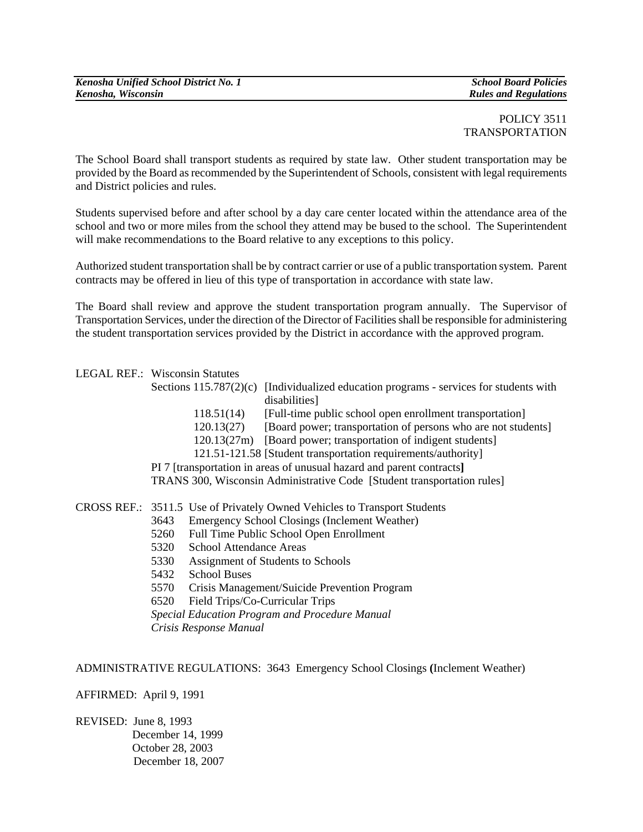# POLICY 3511 TRANSPORTATION

The School Board shall transport students as required by state law. Other student transportation may be provided by the Board as recommended by the Superintendent of Schools, consistent with legal requirements and District policies and rules.

Students supervised before and after school by a day care center located within the attendance area of the school and two or more miles from the school they attend may be bused to the school. The Superintendent will make recommendations to the Board relative to any exceptions to this policy.

Authorized student transportation shall be by contract carrier or use of a public transportation system. Parent contracts may be offered in lieu of this type of transportation in accordance with state law.

The Board shall review and approve the student transportation program annually. The Supervisor of Transportation Services, under the direction of the Director of Facilities shall be responsible for administering the student transportation services provided by the District in accordance with the approved program.

# LEGAL REF.: Wisconsin Statutes

- Sections 115.787(2)(c) [Individualized education programs services for students with disabilities]
	- 118.51(14) [Full-time public school open enrollment transportation]
	- 120.13(27) [Board power; transportation of persons who are not students]
	- 120.13(27m) [Board power; transportation of indigent students]

121.51-121.58 [Student transportation requirements/authority]

 PI 7 [transportation in areas of unusual hazard and parent contracts**]**  TRANS 300, Wisconsin Administrative Code [Student transportation rules]

# CROSS REF.: 3511.5 Use of Privately Owned Vehicles to Transport Students

- 3643 Emergency School Closings (Inclement Weather)
- 5260 Full Time Public School Open Enrollment
- 5320 School Attendance Areas
- 5330 Assignment of Students to Schools
- 5432 School Buses
- 5570 Crisis Management/Suicide Prevention Program
- 6520 Field Trips/Co-Curricular Trips

 *Special Education Program and Procedure Manual Crisis Response Manual*

# ADMINISTRATIVE REGULATIONS: 3643 Emergency School Closings **(**Inclement Weather)

# AFFIRMED: April 9, 1991

REVISED: June 8, 1993 December 14, 1999 October 28, 2003 December 18, 2007